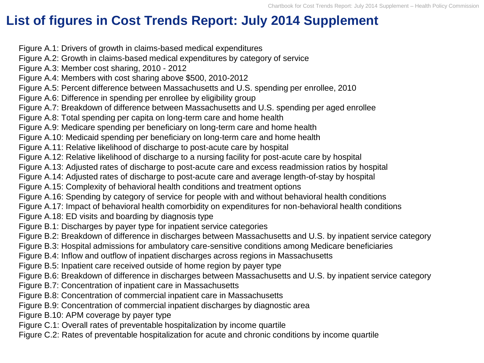## **List of figures in Cost Trends Report: July 2014 Supplement**

Figure A.1: Drivers of growth in claims-based medical expenditures Figure A.2: Growth in claims-based medical expenditures by category of service Figure A.3: Member cost sharing, 2010 - 2012 Figure A.4: Members with cost sharing above \$500, 2010-2012 Figure A.5: Percent difference between Massachusetts and U.S. spending per enrollee, 2010 Figure A.6: Difference in spending per enrollee by eligibility group Figure A.7: Breakdown of difference between Massachusetts and U.S. spending per aged enrollee Figure A.8: Total spending per capita on long-term care and home health Figure A.9: Medicare spending per beneficiary on long-term care and home health Figure A.10: Medicaid spending per beneficiary on long-term care and home health Figure A.11: Relative likelihood of discharge to post-acute care by hospital Figure A.12: Relative likelihood of discharge to a nursing facility for post-acute care by hospital Figure A.13: Adjusted rates of discharge to post-acute care and excess readmission ratios by hospital Figure A.14: Adjusted rates of discharge to post-acute care and average length-of-stay by hospital Figure A.15: Complexity of behavioral health conditions and treatment options Figure A.16: Spending by category of service for people with and without behavioral health conditions Figure A.17: Impact of behavioral health comorbidity on expenditures for non-behavioral health conditions Figure A.18: ED visits and boarding by diagnosis type Figure B.1: Discharges by payer type for inpatient service categories Figure B.2: Breakdown of difference in discharges between Massachusetts and U.S. by inpatient service category Figure B.3: Hospital admissions for ambulatory care-sensitive conditions among Medicare beneficiaries Figure B.4: Inflow and outflow of inpatient discharges across regions in Massachusetts Figure B.5: Inpatient care received outside of home region by payer type Figure B.6: Breakdown of difference in discharges between Massachusetts and U.S. by inpatient service category Figure B.7: Concentration of inpatient care in Massachusetts Figure B.8: Concentration of commercial inpatient care in Massachusetts Figure B.9: Concentration of commercial inpatient discharges by diagnostic area Figure B.10: APM coverage by payer type

Figure C.1: Overall rates of preventable hospitalization by income quartile Figure C.2: Rates of preventable hospitalization for acute and chronic conditions by income quartile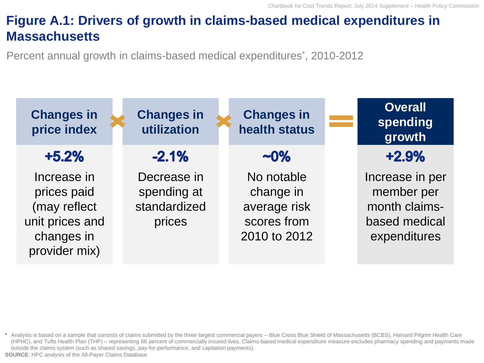# **Figure A.1: Drivers of growth in claims-based medical expenditures in Massachusetts**

Percent annual growth in claims-based medical expenditures<sup>\*</sup>, 2010-2012



**<sup>\*</sup>** Analysis is based on a sample that consists of claims submitted by the three largest commercial payers – Blue Cross Blue Shield of Massachusetts (BCBS), Harvard Pilgrim Health Care (HPHC), and Tufts Health Plan (THP) – representing 66 percent of commercially insured lives. Claims-based medical expenditure measure excludes pharmacy spending and payments made outside the claims system (such as shared savings, pay-for-performance, and capitation payments). **SOURCE**: HPC analysis of the All-Payer Claims Database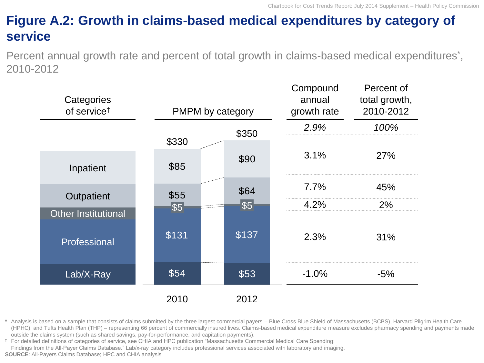# **Figure A.2: Growth in claims-based medical expenditures by category of service**

Percent annual growth rate and percent of total growth in claims-based medical expenditures<sup>\*</sup>, 2010-2012

| Categories<br>of service <sup>t</sup>      | PMPM by category |       | Compound<br>annual<br>growth rate | Percent of<br>total growth,<br>2010-2012 |  |
|--------------------------------------------|------------------|-------|-----------------------------------|------------------------------------------|--|
|                                            |                  | \$350 | 2.9%                              | 100%                                     |  |
| Inpatient                                  | \$330<br>\$85    | \$90  | 3.1%                              | 27%                                      |  |
|                                            | \$55             | \$64  | $7.7\%$                           | 45%                                      |  |
| Outpatient                                 | \$5              | \$5   | 4.2%                              | 2%                                       |  |
| <b>Other Institutional</b><br>Professional | \$131            | \$137 | 2.3%                              | 31%                                      |  |
| Lab/X-Ray                                  | \$54             | \$53  | $-1.0%$                           | $-5%$                                    |  |
|                                            | 2010             | 2012  |                                   |                                          |  |

**\*** Analysis is based on a sample that consists of claims submitted by the three largest commercial payers – Blue Cross Blue Shield of Massachusetts (BCBS), Harvard Pilgrim Health Care (HPHC), and Tufts Health Plan (THP) – representing 66 percent of commercially insured lives. Claims-based medical expenditure measure excludes pharmacy spending and payments made outside the claims system (such as shared savings, pay-for-performance, and capitation payments).

**†** For detailed definitions of categories of service, see CHIA and HPC publication "Massachusetts Commercial Medical Care Spending: Findings from the All-Payer Claims Database." Lab/x-ray category includes professional services associated with laboratory and imaging. **SOURCE**: All-Payers Claims Database; HPC and CHIA analysis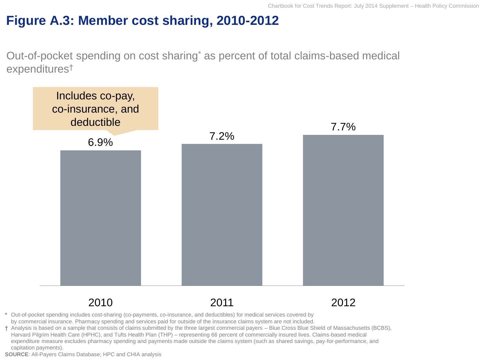## **Figure A.3: Member cost sharing, 2010-2012**

Out-of-pocket spending on cost sharing\* as percent of total claims-based medical expenditures†



**\*** Out-of-pocket spending includes cost-sharing (co-payments, co-insurance, and deductibles) for medical services covered by by commercial insurance. Pharmacy spending and services paid for outside of the insurance claims system are not included.

**†** Analysis is based on a sample that consists of claims submitted by the three largest commercial payers – Blue Cross Blue Shield of Massachusetts (BCBS), Harvard Pilgrim Health Care (HPHC), and Tufts Health Plan (THP) – representing 66 percent of commercially insured lives. Claims-based medical expenditure measure excludes pharmacy spending and payments made outside the claims system (such as shared savings, pay-for-performance, and capitation payments).

**SOURCE**: All-Payers Claims Database; HPC and CHIA analysis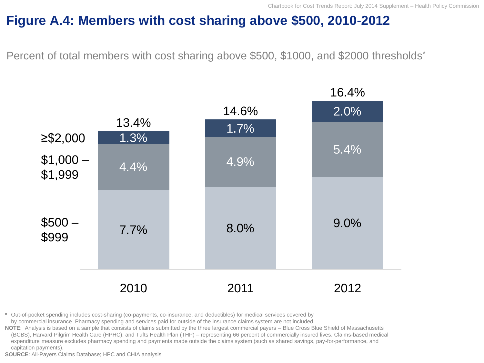#### **Figure A.4: Members with cost sharing above \$500, 2010-2012**

Percent of total members with cost sharing above \$500, \$1000, and \$2000 thresholds<sup>\*</sup>



**\*** Out-of-pocket spending includes cost-sharing (co-payments, co-insurance, and deductibles) for medical services covered by by commercial insurance. Pharmacy spending and services paid for outside of the insurance claims system are not included.

**NOTE**: Analysis is based on a sample that consists of claims submitted by the three largest commercial payers – Blue Cross Blue Shield of Massachusetts (BCBS), Harvard Pilgrim Health Care (HPHC), and Tufts Health Plan (THP) – representing 66 percent of commercially insured lives. Claims-based medical expenditure measure excludes pharmacy spending and payments made outside the claims system (such as shared savings, pay-for-performance, and capitation payments).

**SOURCE**: All-Payers Claims Database; HPC and CHIA analysis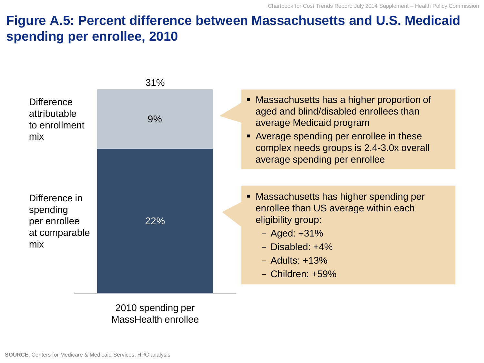## **Figure A.5: Percent difference between Massachusetts and U.S. Medicaid spending per enrollee, 2010**



2010 spending per MassHealth enrollee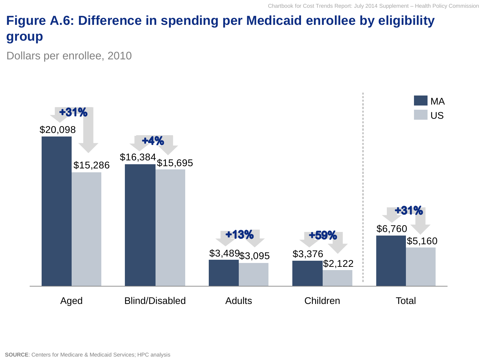# **Figure A.6: Difference in spending per Medicaid enrollee by eligibility group**

Dollars per enrollee, 2010

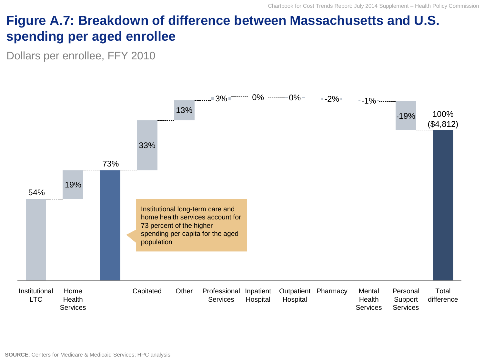## **Figure A.7: Breakdown of difference between Massachusetts and U.S. spending per aged enrollee**

Dollars per enrollee, FFY 2010

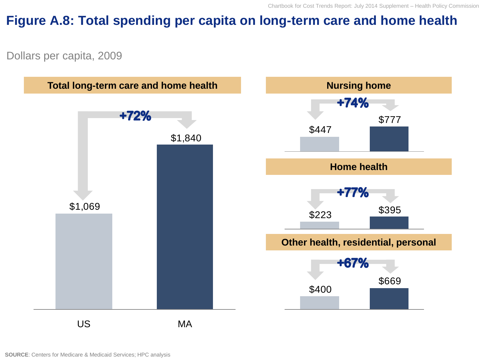#### **Figure A.8: Total spending per capita on long-term care and home health**

Dollars per capita, 2009

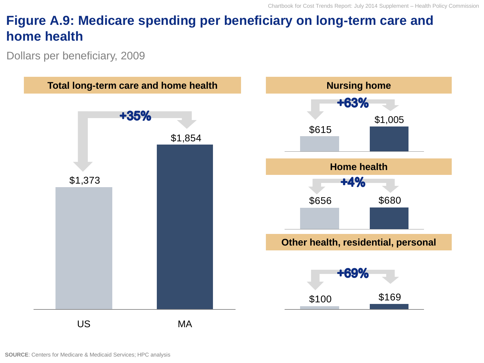## **Figure A.9: Medicare spending per beneficiary on long-term care and home health**

Dollars per beneficiary, 2009

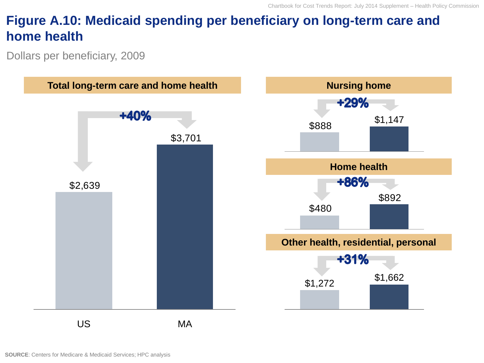## **Figure A.10: Medicaid spending per beneficiary on long-term care and home health**

Dollars per beneficiary, 2009

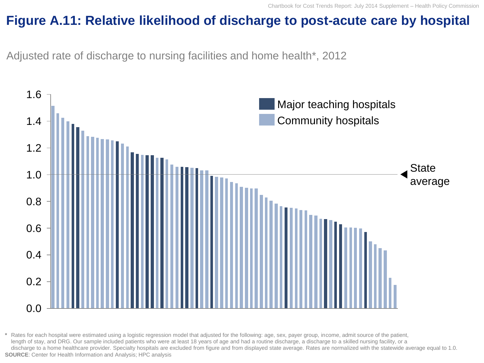#### **Figure A.11: Relative likelihood of discharge to post-acute care by hospital**

Adjusted rate of discharge to nursing facilities and home health\*, 2012



**\*** Rates for each hospital were estimated using a logistic regression model that adjusted for the following: age, sex, payer group, income, admit source of the patient, length of stay, and DRG. Our sample included patients who were at least 18 years of age and had a routine discharge, a discharge to a skilled nursing facility, or a discharge to a home healthcare provider. Specialty hospitals are excluded from figure and from displayed state average. Rates are normalized with the statewide average equal to 1.0. **SOURCE**: Center for Health Information and Analysis; HPC analysis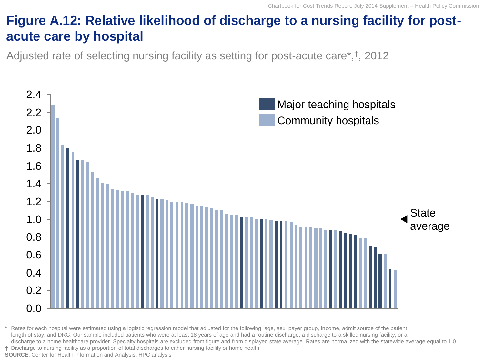# **Figure A.12: Relative likelihood of discharge to a nursing facility for postacute care by hospital**

Adjusted rate of selecting nursing facility as setting for post-acute care\*,† , 2012



**\*** Rates for each hospital were estimated using a logistic regression model that adjusted for the following: age, sex, payer group, income, admit source of the patient, length of stay, and DRG. Our sample included patients who were at least 18 years of age and had a routine discharge, a discharge to a skilled nursing facility, or a discharge to a home healthcare provider. Specialty hospitals are excluded from figure and from displayed state average. Rates are normalized with the statewide average equal to 1.0. **†** Discharge to nursing facility as a proportion of total discharges to either nursing facility or home health. **SOURCE**: Center for Health Information and Analysis; HPC analysis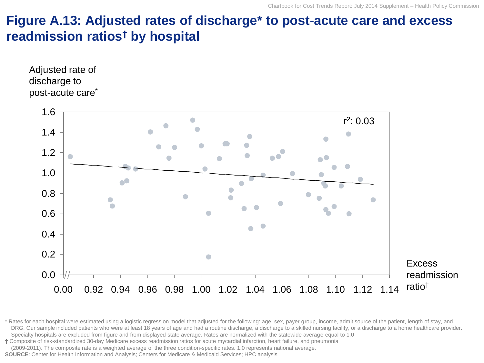#### **Figure A.13: Adjusted rates of discharge\* to post-acute care and excess readmission ratios† by hospital**





\* Rates for each hospital were estimated using a logistic regression model that adjusted for the following: age, sex, payer group, income, admit source of the patient, length of stay, and DRG. Our sample included patients who were at least 18 years of age and had a routine discharge, a discharge to a skilled nursing facility, or a discharge to a home healthcare provider. Specialty hospitals are excluded from figure and from displayed state average. Rates are normalized with the statewide average equal to 1.0

**†** Composite of risk-standardized 30-day Medicare excess readmission ratios for acute mycardial infarction, heart failure, and pneumonia

(2009-2011). The composite rate is a weighted average of the three condition-specific rates. 1.0 represents national average.

**SOURCE**: Center for Health Information and Analysis; Centers for Medicare & Medicaid Services; HPC analysis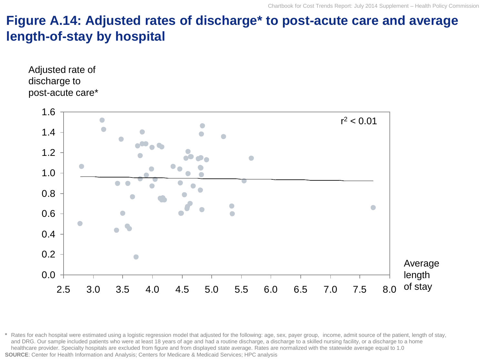#### **Figure A.14: Adjusted rates of discharge\* to post-acute care and average length-of-stay by hospital**





**\*** Rates for each hospital were estimated using a logistic regression model that adjusted for the following: age, sex, payer group, income, admit source of the patient, length of stay, and DRG. Our sample included patients who were at least 18 years of age and had a routine discharge, a discharge to a skilled nursing facility, or a discharge to a home healthcare provider. Specialty hospitals are excluded from figure and from displayed state average. Rates are normalized with the statewide average equal to 1.0 **SOURCE**: Center for Health Information and Analysis; Centers for Medicare & Medicaid Services; HPC analysis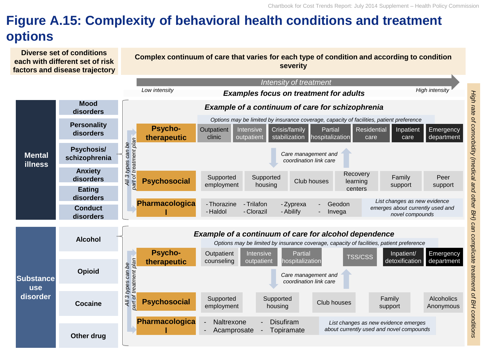# **Figure A.15: Complexity of behavioral health conditions and treatment options**

**Diverse set of conditions each with different set of risk factors and disease trajectory**

#### **Complex continuum of care that varies for each type of condition and according to condition severity**

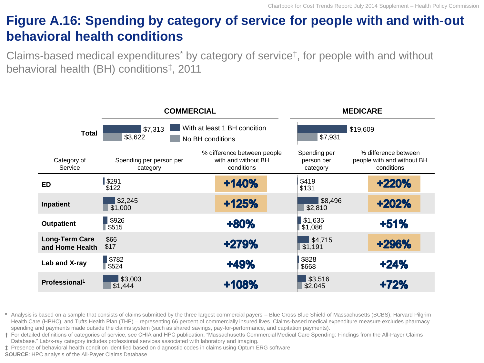## **Figure A.16: Spending by category of service for people with and with-out behavioral health conditions**

Claims-based medical expenditures\* by category of service† , for people with and without behavioral health (BH) conditions‡ , 2011



**\*** Analysis is based on a sample that consists of claims submitted by the three largest commercial payers – Blue Cross Blue Shield of Massachusetts (BCBS), Harvard Pilgrim Health Care (HPHC), and Tufts Health Plan (THP) – representing 66 percent of commercially insured lives. Claims-based medical expenditure measure excludes pharmacy spending and payments made outside the claims system (such as shared savings, pay-for-performance, and capitation payments).

**†** For detailed definitions of categories of service, see CHIA and HPC publication, "Massachusetts Commercial Medical Care Spending: Findings from the All-Payer Claims Database." Lab/x-ray category includes professional services associated with laboratory and imaging.

**‡** Presence of behavioral health condition identified based on diagnostic codes in claims using Optum ERG software

**SOURCE**: HPC analysis of the All-Payer Claims Database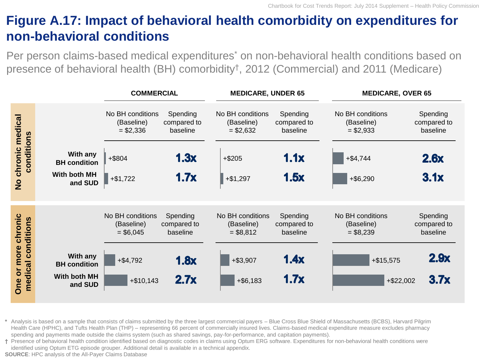## **Figure A.17: Impact of behavioral health comorbidity on expenditures for non-behavioral conditions**

Per person claims-based medical expenditures<sup>\*</sup> on non-behavioral health conditions based on presence of behavioral health (BH) comorbidity† , 2012 (Commercial) and 2011 (Medicare)

|                                                                            |                                                            | <b>COMMERCIAL</b>                                                         | <b>MEDICARE, UNDER 65</b>                           |                                                                          | <b>MEDICARE, OVER 65</b>                            |                                                                            |                                                     |
|----------------------------------------------------------------------------|------------------------------------------------------------|---------------------------------------------------------------------------|-----------------------------------------------------|--------------------------------------------------------------------------|-----------------------------------------------------|----------------------------------------------------------------------------|-----------------------------------------------------|
| chronic medical<br>conditions<br>$rac{1}{2}$                               | With any<br><b>BH</b> condition<br>With both MH<br>and SUD | No BH conditions<br>(Baseline)<br>$= $2,336$<br>$+$ \$804<br>$+ $1,722$   | Spending<br>compared to<br>baseline<br>1.3x<br>1.7x | No BH conditions<br>(Baseline)<br>$= $2,632$<br>$+ $205$<br>$+ $1,297$   | Spending<br>compared to<br>baseline<br>1.1x<br>1.5x | No BH conditions<br>(Baseline)<br>$= $2,933$<br>$+ $4,744$<br>$+$ \$6,290  | Spending<br>compared to<br>baseline<br>2.6x<br>3.1x |
| chronic<br>conditions<br>more<br>medical<br>$\overline{\mathbf{o}}$<br>One | With any<br><b>BH</b> condition<br>With both MH<br>and SUD | No BH conditions<br>(Baseline)<br>$= $6,045$<br>$+ $4,792$<br>$+ $10,143$ | Spending<br>compared to<br>baseline<br>1.8x<br>2.7x | No BH conditions<br>(Baseline)<br>$= $8,812$<br>$+ $3,907$<br>$+ $6,183$ | Spending<br>compared to<br>baseline<br>1.4x<br>1.7x | No BH conditions<br>(Baseline)<br>$= $8,239$<br>$+ $15,575$<br>$+ $22,002$ | Spending<br>compared to<br>baseline<br>2.9x<br>3.7x |

**\*** Analysis is based on a sample that consists of claims submitted by the three largest commercial payers – Blue Cross Blue Shield of Massachusetts (BCBS), Harvard Pilgrim Health Care (HPHC), and Tufts Health Plan (THP) – representing 66 percent of commercially insured lives. Claims-based medical expenditure measure excludes pharmacy spending and payments made outside the claims system (such as shared savings, pay-for-performance, and capitation payments).

**†** Presence of behavioral health condition identified based on diagnostic codes in claims using Optum ERG software. Expenditures for non-behavioral health conditions were identified using Optum ETG episode grouper. Additional detail is available in a technical appendix.

**SOURCE**: HPC analysis of the All-Payer Claims Database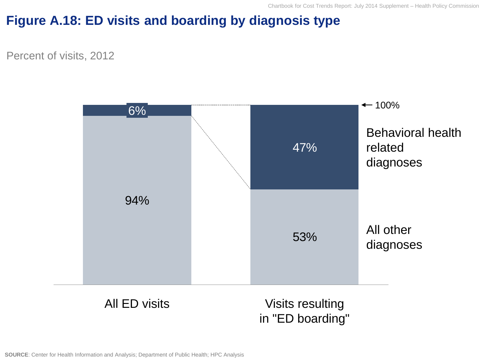## **Figure A.18: ED visits and boarding by diagnosis type**

Percent of visits, 2012



All ED visits

Visits resulting in "ED boarding"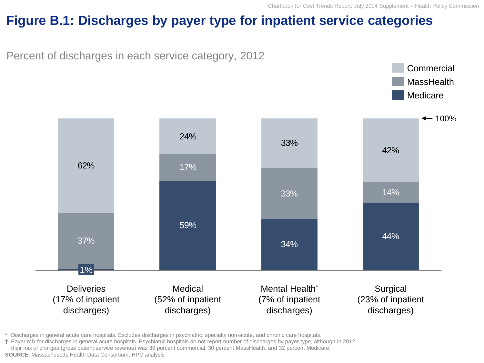Commercial **MassHealth** 

#### **Figure B.1: Discharges by payer type for inpatient service categories**

Percent of discharges in each service category, 2012



**\*** Discharges in general acute care hospitals. Excludes discharges in psychiatric, specialty non-acute, and chronic care hospitals.

**†** Payer mix for discharges in general acute hospitals. Psychiatric hospitals do not report number of discharges by payer type, although in 2012 their mix of charges (gross patient service revenue) was 39 percent commercial, 30 percent MassHealth, and 32 percent Medicare. **SOURCE**: Massachusetts Health Data Consortium; HPC analysis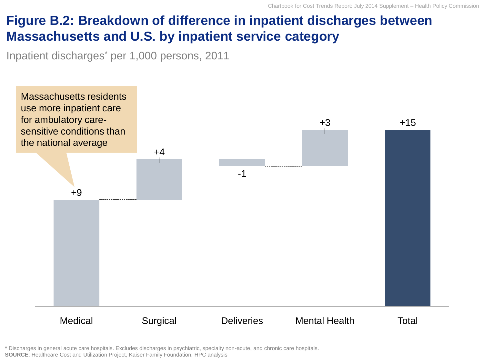# **Figure B.2: Breakdown of difference in inpatient discharges between Massachusetts and U.S. by inpatient service category**

Inpatient discharges\* per 1,000 persons, 2011



**\*** Discharges in general acute care hospitals. Excludes discharges in psychiatric, specialty non-acute, and chronic care hospitals. **SOURCE**: Healthcare Cost and Utilization Project, Kaiser Family Foundation, HPC analysis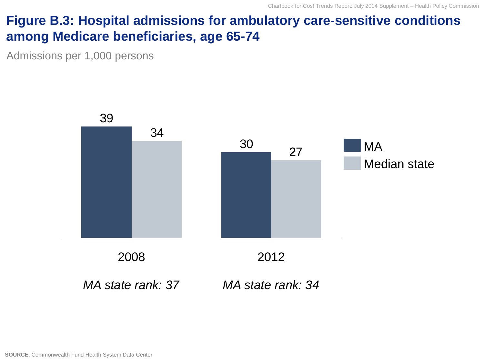#### **Figure B.3: Hospital admissions for ambulatory care-sensitive conditions among Medicare beneficiaries, age 65-74**

Admissions per 1,000 persons

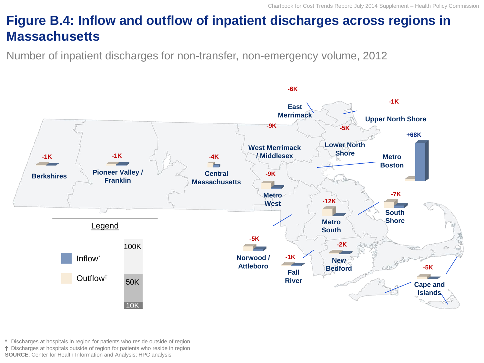# **Figure B.4: Inflow and outflow of inpatient discharges across regions in Massachusetts**

Number of inpatient discharges for non-transfer, non-emergency volume, 2012



**\*** Discharges at hospitals in region for patients who reside outside of region **†** Discharges at hospitals outside of region for patients who reside in region **SOURCE**: Center for Health Information and Analysis; HPC analysis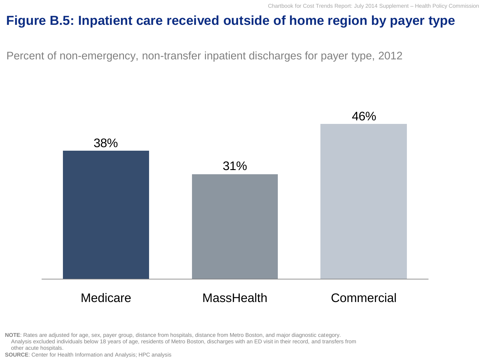### **Figure B.5: Inpatient care received outside of home region by payer type**

Percent of non-emergency, non-transfer inpatient discharges for payer type, 2012



**NOTE**: Rates are adjusted for age, sex, payer group, distance from hospitals, distance from Metro Boston, and major diagnostic category. Analysis excluded individuals below 18 years of age, residents of Metro Boston, discharges with an ED visit in their record, and transfers from other acute hospitals.

**SOURCE**: Center for Health Information and Analysis; HPC analysis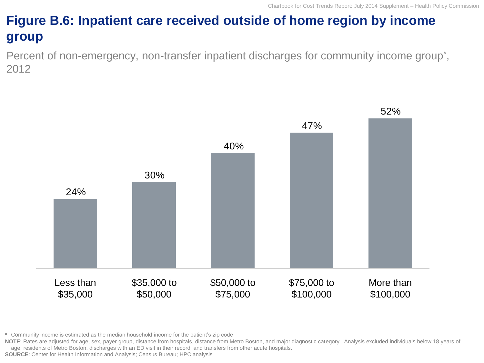# **Figure B.6: Inpatient care received outside of home region by income group**

Percent of non-emergency, non-transfer inpatient discharges for community income group<sup>\*</sup>, 2012



**\*** Community income is estimated as the median household income for the patient's zip code

NOTE: Rates are adjusted for age, sex, payer group, distance from hospitals, distance from Metro Boston, and major diagnostic category. Analysis excluded individuals below 18 years of age, residents of Metro Boston, discharges with an ED visit in their record, and transfers from other acute hospitals.

**SOURCE**: Center for Health Information and Analysis; Census Bureau; HPC analysis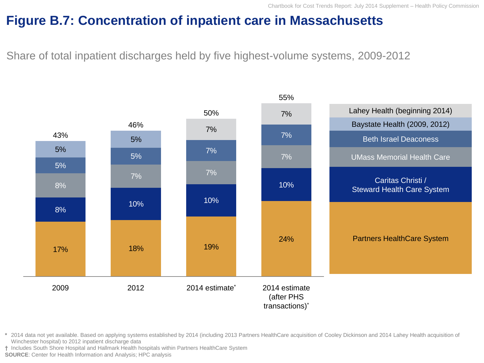#### **Figure B.7: Concentration of inpatient care in Massachusetts**

Share of total inpatient discharges held by five highest-volume systems, 2009-2012



**\*** 2014 data not yet available. Based on applying systems established by 2014 (including 2013 Partners HealthCare acquisition of Cooley Dickinson and 2014 Lahey Health acquisition of Winchester hospital) to 2012 inpatient discharge data

**†** Includes South Shore Hospital and Hallmark Health hospitals within Partners HealthCare System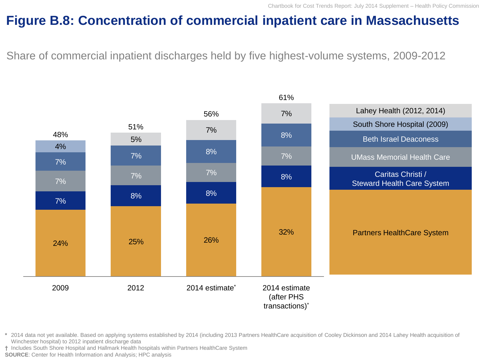## **Figure B.8: Concentration of commercial inpatient care in Massachusetts**

Share of commercial inpatient discharges held by five highest-volume systems, 2009-2012



**\*** 2014 data not yet available. Based on applying systems established by 2014 (including 2013 Partners HealthCare acquisition of Cooley Dickinson and 2014 Lahey Health acquisition of Winchester hospital) to 2012 inpatient discharge data

**†** Includes South Shore Hospital and Hallmark Health hospitals within Partners HealthCare System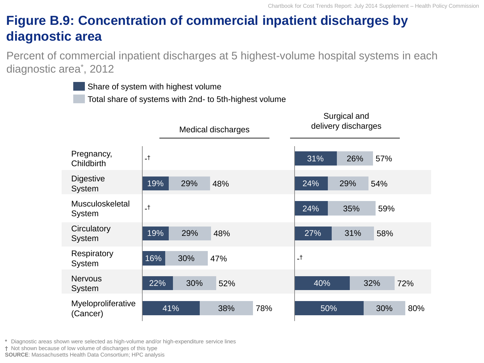# **Figure B.9: Concentration of commercial inpatient discharges by diagnostic area**

Percent of commercial inpatient discharges at 5 highest-volume hospital systems in each diagnostic area\* , 2012

Share of system with highest volume

Total share of systems with 2nd- to 5th-highest volume

|                                |      | Medical discharges |     |     | Surgical and<br>delivery discharges |     |     |     |
|--------------------------------|------|--------------------|-----|-----|-------------------------------------|-----|-----|-----|
| Pregnancy,<br>Childbirth       | $-t$ |                    |     |     | 31%                                 | 26% | 57% |     |
| <b>Digestive</b><br>System     | 19%  | 29%                | 48% |     | 24%                                 | 29% | 54% |     |
| Musculoskeletal<br>System      | $-t$ |                    |     |     | 24%                                 | 35% | 59% |     |
| Circulatory<br>System          | 19%  | 29%                | 48% |     | 27%                                 | 31% | 58% |     |
| Respiratory<br>System          | 16%  | 30%                | 47% |     | $-t$                                |     |     |     |
| <b>Nervous</b><br>System       | 22%  | 30%                | 52% |     | 40%                                 |     | 32% | 72% |
| Myeloproliferative<br>(Cancer) | 41%  |                    | 38% | 78% | 50%                                 |     | 30% | 80% |

**\*** Diagnostic areas shown were selected as high-volume and/or high-expenditure service lines

**†** Not shown because of low volume of discharges of this type

**SOURCE**: Massachusetts Health Data Consortium; HPC analysis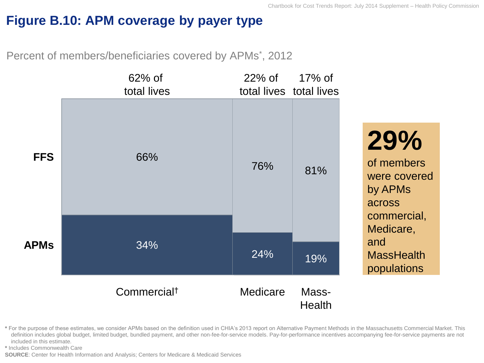## **Figure B.10: APM coverage by payer type**

Percent of members/beneficiaries covered by APMs<sup>\*</sup>, 2012



**\*** For the purpose of these estimates, we consider APMs based on the definition used in CHIA's 2013 report on Alternative Payment Methods in the Massachusetts Commercial Market. This definition includes global budget, limited budget, bundled payment, and other non-fee-for-service models. Pay-for-performance incentives accompanying fee-for-service payments are not included in this estimate.

**\*** Includes Commonwealth Care

**SOURCE**: Center for Health Information and Analysis; Centers for Medicare & Medicaid Services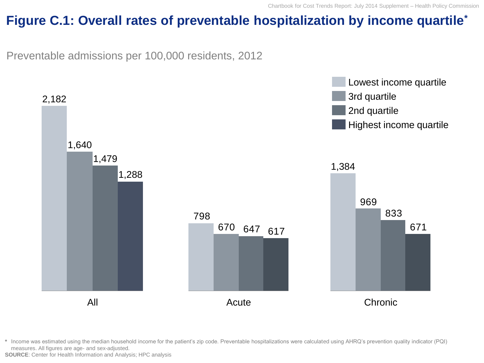#### **Figure C.1: Overall rates of preventable hospitalization by income quartile\***

Preventable admissions per 100,000 residents, 2012



**\*** Income was estimated using the median household income for the patient's zip code. Preventable hospitalizations were calculated using AHRQ's prevention quality indicator (PQI) measures. All figures are age- and sex-adjusted.

**SOURCE**: Center for Health Information and Analysis; HPC analysis